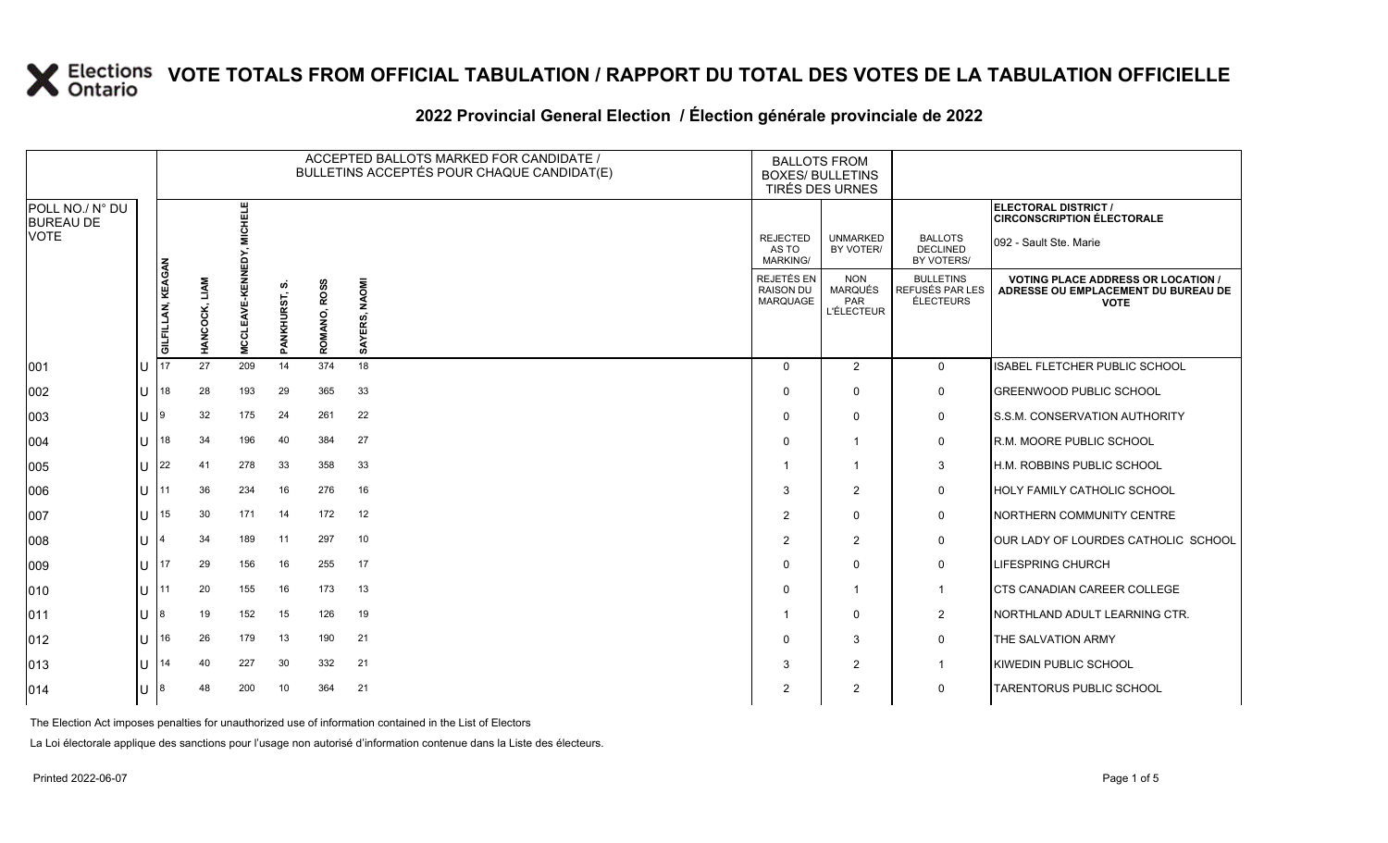### **2022 Provincial General Election / Élection générale provinciale de 2022**

|                                     |              |                   |                                    |        |                              |                        | ACCEPTED BALLOTS MARKED FOR CANDIDATE /<br>BULLETINS ACCEPTÉS POUR CHAQUE CANDIDAT(E) | <b>BALLOTS FROM</b><br><b>BOXES/ BULLETINS</b><br>TIRÉS DES URNES |                                                          |                                                  |                                                                                               |
|-------------------------------------|--------------|-------------------|------------------------------------|--------|------------------------------|------------------------|---------------------------------------------------------------------------------------|-------------------------------------------------------------------|----------------------------------------------------------|--------------------------------------------------|-----------------------------------------------------------------------------------------------|
| POLL NO./ N° DU<br><b>BUREAU DE</b> |              |                   |                                    | 빂      |                              |                        |                                                                                       |                                                                   |                                                          |                                                  | ELECTORAL DISTRICT /<br><b>CIRCONSCRIPTION ÉLECTORALE</b>                                     |
| VOTE                                |              |                   |                                    |        |                              |                        |                                                                                       | <b>REJECTED</b><br>AS TO<br><b>MARKING/</b>                       | <b>UNMARKED</b><br>BY VOTER/                             | <b>BALLOTS</b><br><b>DECLINED</b><br>BY VOTERS/  | 092 - Sault Ste. Marie                                                                        |
|                                     |              | GILFILLAN, KEAGAN | <b>LIAM</b><br>COCK,<br><b>NAH</b> | V<br>S | <b>SO</b><br>ANKHURST,<br>Δì | <b>ROSS</b><br>ROMANO, | <b>NAOMI</b><br>SAYERS,                                                               | <b>REJETÉS EN</b><br><b>RAISON DU</b><br>MARQUAGE                 | <b>NON</b><br><b>MARQUÉS</b><br>PAR<br><b>L'ÉLECTEUR</b> | <b>BULLETINS</b><br>REFUSÉS PAR LES<br>ÉLECTEURS | <b>VOTING PLACE ADDRESS OR LOCATION</b><br>ADRESSE OU EMPLACEMENT DU BUREAU DE<br><b>VOTE</b> |
| 001                                 |              | 17                | 27                                 | 209    | 14                           | 374                    | 18                                                                                    | $\Omega$                                                          | 2                                                        | $\mathbf 0$                                      | ISABEL FLETCHER PUBLIC SCHOOL                                                                 |
| 002                                 |              | 18                | 28                                 | 193    | 29                           | 365                    | 33                                                                                    | $\Omega$                                                          | $\Omega$                                                 | 0                                                | <b>GREENWOOD PUBLIC SCHOOL</b>                                                                |
| 003                                 | $\mathbf{L}$ |                   | 32                                 | 175    | -24                          | 261                    | 22                                                                                    | $\Omega$                                                          | $\Omega$                                                 | 0                                                | S.S.M. CONSERVATION AUTHORITY                                                                 |
| 004                                 |              | 18                | 34                                 | 196    | 40                           | 384                    | 27                                                                                    | $\Omega$                                                          | $\mathbf{1}$                                             | 0                                                | R.M. MOORE PUBLIC SCHOOL                                                                      |
| 005                                 |              | 22                | 41                                 | 278    | 33                           | 358                    | 33                                                                                    | -1                                                                | $\mathbf 1$                                              | 3                                                | H.M. ROBBINS PUBLIC SCHOOL                                                                    |
| 006                                 | $\mathbf{L}$ | 11                | 36                                 | 234    | 16                           | 276                    | 16                                                                                    | 3                                                                 | $\overline{2}$                                           | 0                                                | <b>HOLY FAMILY CATHOLIC SCHOOL</b>                                                            |
| 007                                 |              | 15                | 30                                 | 171    | 14                           | 172                    | 12                                                                                    | $\overline{2}$                                                    | $\Omega$                                                 | 0                                                | NORTHERN COMMUNITY CENTRE                                                                     |
| 008                                 |              |                   | 34                                 | 189    | 11                           | 297                    | 10                                                                                    | $\overline{2}$                                                    | 2                                                        | 0                                                | OUR LADY OF LOURDES CATHOLIC SCHOOL                                                           |
| 009                                 | $\mathbf{L}$ | 117               | 29                                 | 156    | 16                           | 255                    | 17                                                                                    | $\Omega$                                                          | $\Omega$                                                 | 0                                                | <b>LIFESPRING CHURCH</b>                                                                      |
| 010                                 |              | l 11              | 20                                 | 155    | 16                           | 173                    | 13                                                                                    | 0                                                                 | $\mathbf 1$                                              | $\mathbf{1}$                                     | <b>CTS CANADIAN CAREER COLLEGE</b>                                                            |
| 011                                 |              |                   | 19                                 | 152    | 15                           | 126                    | 19                                                                                    |                                                                   | $\Omega$                                                 | $\overline{2}$                                   | NORTHLAND ADULT LEARNING CTR.                                                                 |
| 012                                 | $\mathbf{L}$ | 16                | 26                                 | 179    | 13                           | 190                    | 21                                                                                    | $\Omega$                                                          | 3                                                        | 0                                                | THE SALVATION ARMY                                                                            |
| 013                                 |              | 14                | 40                                 | 227    | 30                           | 332                    | 21                                                                                    | 3                                                                 | $\overline{2}$                                           | $\mathbf{1}$                                     | KIWEDIN PUBLIC SCHOOL                                                                         |
| 014                                 |              |                   | 48                                 | 200    | 10                           | 364                    | 21                                                                                    | 2                                                                 | 2                                                        | 0                                                | <b>TARENTORUS PUBLIC SCHOOL</b>                                                               |

The Election Act imposes penalties for unauthorized use of information contained in the List of Electors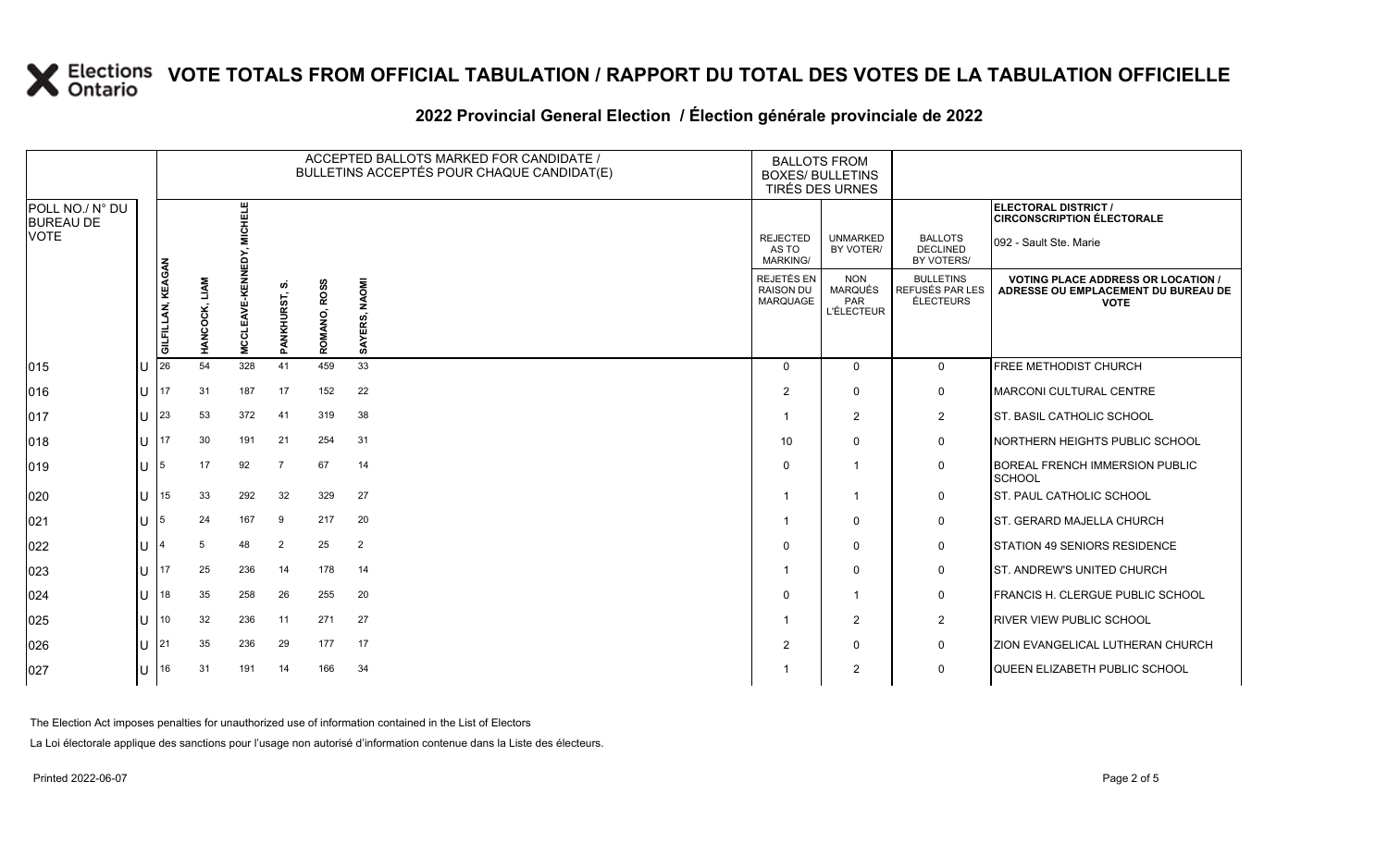### **2022 Provincial General Election / Élection générale provinciale de 2022**

|                                     |        |                   |               |                   |                        |                        | ACCEPTED BALLOTS MARKED FOR CANDIDATE /<br>BULLETINS ACCEPTÉS POUR CHAQUE CANDIDAT(E) | <b>BALLOTS FROM</b><br><b>BOXES/ BULLETINS</b><br><b>TIRÉS DES URNES</b> |                                                          |                                                  |                                                                                                 |
|-------------------------------------|--------|-------------------|---------------|-------------------|------------------------|------------------------|---------------------------------------------------------------------------------------|--------------------------------------------------------------------------|----------------------------------------------------------|--------------------------------------------------|-------------------------------------------------------------------------------------------------|
| POLL NO./ N° DU<br><b>BUREAU DE</b> |        |                   |               | MICHELE           |                        |                        |                                                                                       |                                                                          |                                                          |                                                  | <b>ELECTORAL DISTRICT /</b><br><b>CIRCONSCRIPTION ÉLECTORALE</b>                                |
| <b>VOTE</b>                         |        |                   |               |                   |                        |                        |                                                                                       | <b>REJECTED</b><br>AS TO<br><b>MARKING/</b>                              | <b>UNMARKED</b><br>BY VOTER/                             | <b>BALLOTS</b><br><b>DECLINED</b><br>BY VOTERS/  | 092 - Sault Ste. Marie                                                                          |
|                                     |        | GILFILLAN, KEAGAN | HANCOCK, LIAM | MCCLEAVE-KENNEDY, | ທ<br><b>PANKHURST,</b> | <b>ROSS</b><br>ROMANO, | <b>NAOMI</b><br>SAYERS,                                                               | REJETÉS EN<br><b>RAISON DU</b><br><b>MARQUAGE</b>                        | <b>NON</b><br>MARQUÉS<br><b>PAR</b><br><b>L'ÉLECTEUR</b> | <b>BULLETINS</b><br>REFUSÉS PAR LES<br>ÉLECTEURS | <b>VOTING PLACE ADDRESS OR LOCATION /</b><br>ADRESSE OU EMPLACEMENT DU BUREAU DE<br><b>VOTE</b> |
| 015                                 |        | 26                | 54            | 328               | 41                     | 459                    | 33                                                                                    | $\Omega$                                                                 | 0                                                        | $\mathbf 0$                                      | <b>FREE METHODIST CHURCH</b>                                                                    |
| 016                                 | U      | 17                | 31            | 187               | 17                     | 152                    | 22                                                                                    | 2                                                                        | $\mathbf 0$                                              | 0                                                | MARCONI CULTURAL CENTRE                                                                         |
| 017                                 | U      | 23                | 53            | 372               | 41                     | 319                    | 38                                                                                    |                                                                          | $\overline{2}$                                           | $\overline{2}$                                   | <b>I</b> ST. BASIL CATHOLIC SCHOOL                                                              |
| 018                                 | U      | 17                | 30            | 191               | 21                     | 254                    | 31                                                                                    | 10                                                                       | 0                                                        | 0                                                | <b>NORTHERN HEIGHTS PUBLIC SCHOOL</b>                                                           |
| 019                                 | $U$ 15 |                   | 17            | 92                | $\overline{7}$         | 67                     | 14                                                                                    | $\Omega$                                                                 | $\overline{1}$                                           | 0                                                | <b>BOREAL FRENCH IMMERSION PUBLIC</b><br><b>SCHOOL</b>                                          |
| 020                                 | U      | 15                | 33            | 292               | 32                     | 329                    | 27                                                                                    |                                                                          | -1                                                       | 0                                                | <b>IST. PAUL CATHOLIC SCHOOL</b>                                                                |
| 021                                 | U      | 5                 | 24            | 167               | 9                      | 217                    | 20                                                                                    |                                                                          | 0                                                        | 0                                                | <b>ST. GERARD MAJELLA CHURCH</b>                                                                |
| 022                                 | U      |                   | 5             | 48                | 2                      | 25                     | $\overline{2}$                                                                        | $\Omega$                                                                 | 0                                                        | 0                                                | <b>STATION 49 SENIORS RESIDENCE</b>                                                             |
| 023                                 | U      | 17                | 25            | 236               | 14                     | 178                    | 14                                                                                    |                                                                          | $\Omega$                                                 | 0                                                | <b>ST. ANDREW'S UNITED CHURCH</b>                                                               |
| 024                                 | U      | 18                | 35            | 258               | 26                     | 255                    | 20                                                                                    | $\Omega$                                                                 | $\mathbf{1}$                                             | 0                                                | <b>FRANCIS H. CLERGUE PUBLIC SCHOOL</b>                                                         |
| 025                                 | U      | 10                | 32            | 236               | 11                     | 271                    | 27                                                                                    |                                                                          | $\overline{2}$                                           | $\overline{a}$                                   | <b>RIVER VIEW PUBLIC SCHOOL</b>                                                                 |
| 026                                 |        | $U$  21           | 35            | 236               | 29                     | 177                    | 17                                                                                    | 2                                                                        | $\Omega$                                                 | 0                                                | <b>ZION EVANGELICAL LUTHERAN CHURCH</b>                                                         |
| 027                                 | U      | 16                | 31            | 191               | 14                     | 166                    | 34                                                                                    |                                                                          | $\overline{2}$                                           | $\Omega$                                         | QUEEN ELIZABETH PUBLIC SCHOOL                                                                   |

The Election Act imposes penalties for unauthorized use of information contained in the List of Electors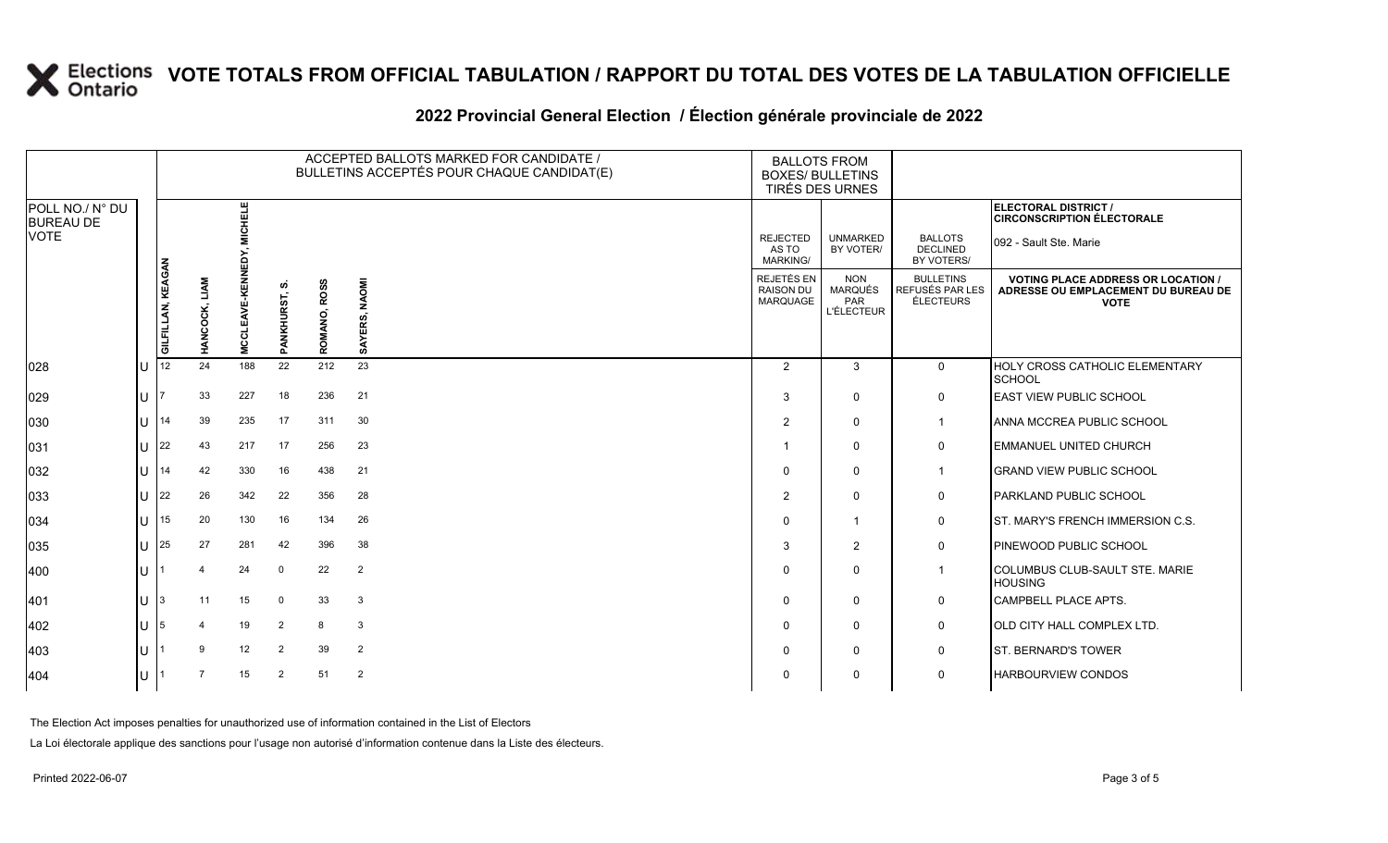### **2022 Provincial General Election / Élection générale provinciale de 2022**

|                                     |                   |                      |                    |                      |                        | ACCEPTED BALLOTS MARKED FOR CANDIDATE /<br>BULLETINS ACCEPTÉS POUR CHAQUE CANDIDAT(E) | <b>BALLOTS FROM</b><br><b>BOXES/ BULLETINS</b><br>TIRÉS DES URNES |                                                          |                                                  |                                                                                                 |
|-------------------------------------|-------------------|----------------------|--------------------|----------------------|------------------------|---------------------------------------------------------------------------------------|-------------------------------------------------------------------|----------------------------------------------------------|--------------------------------------------------|-------------------------------------------------------------------------------------------------|
| POLL NO./ N° DU<br><b>BUREAU DE</b> |                   |                      | 出乳                 |                      |                        |                                                                                       |                                                                   |                                                          |                                                  | ELECTORAL DISTRICT /<br><b>CIRCONSCRIPTION ÉLECTORALE</b>                                       |
| VOTE                                |                   |                      |                    |                      |                        |                                                                                       | <b>REJECTED</b><br>AS TO<br><b>MARKING/</b>                       | <b>UNMARKED</b><br>BY VOTER/                             | <b>BALLOTS</b><br><b>DECLINED</b><br>BY VOTERS/  | 092 - Sault Ste. Marie                                                                          |
|                                     | GILFILLAN, KEAGAN | <b>HANCOCK, LIAM</b> | M≣<br><b>MCCLI</b> | ഗ<br>ANKHURST,<br>o. | <b>ROSS</b><br>ROMANO, | SAYERS, NAOMI                                                                         | REJETÉS EN<br><b>RAISON DU</b><br>MARQUAGE                        | <b>NON</b><br><b>MARQUÉS</b><br>PAR<br><b>L'ÉLECTEUR</b> | <b>BULLETINS</b><br>REFUSÉS PAR LES<br>ÉLECTEURS | <b>VOTING PLACE ADDRESS OR LOCATION /</b><br>ADRESSE OU EMPLACEMENT DU BUREAU DE<br><b>VOTE</b> |
| 028                                 | 12                | 24                   | 188                | 22                   | 212                    | 23                                                                                    | 2                                                                 | 3                                                        | $\mathbf 0$                                      | <b>HOLY CROSS CATHOLIC ELEMENTARY</b><br><b>SCHOOL</b>                                          |
| 029                                 |                   | 33                   | 227                | 18                   | 236                    | 21                                                                                    | 3                                                                 | 0                                                        | $\mathbf 0$                                      | <b>EAST VIEW PUBLIC SCHOOL</b>                                                                  |
| 030                                 | 14                | 39                   | 235                | 17                   | 311                    | 30                                                                                    | $\overline{2}$                                                    | $\mathbf 0$                                              | $\mathbf{1}$                                     | ANNA MCCREA PUBLIC SCHOOL                                                                       |
| 031                                 | 22                | 43                   | 217                | 17                   | 256                    | 23                                                                                    |                                                                   | 0                                                        | 0                                                | <b>EMMANUEL UNITED CHURCH</b>                                                                   |
| 032                                 | 14                | 42                   | 330                | 16                   | 438                    | 21                                                                                    | $\Omega$                                                          | $\mathbf 0$                                              | $\mathbf{1}$                                     | <b>GRAND VIEW PUBLIC SCHOOL</b>                                                                 |
| 033                                 | 22                | 26                   | 342                | 22                   | 356                    | 28                                                                                    | $\overline{2}$                                                    | $\mathbf 0$                                              | 0                                                | <b>PARKLAND PUBLIC SCHOOL</b>                                                                   |
| 034                                 | 15                | 20                   | 130                | 16                   | 134                    | 26                                                                                    | $\Omega$                                                          | $\mathbf 1$                                              | $\mathbf 0$                                      | ST. MARY'S FRENCH IMMERSION C.S.                                                                |
| 035                                 | 25                | 27                   | 281                | 42                   | 396                    | 38                                                                                    | 3                                                                 | 2                                                        | $\mathbf 0$                                      | PINEWOOD PUBLIC SCHOOL                                                                          |
| 400                                 |                   | 4                    | 24                 | $\mathbf 0$          | 22                     | $\overline{2}$                                                                        | $\Omega$                                                          | 0                                                        | $\mathbf{1}$                                     | COLUMBUS CLUB-SAULT STE. MARIE<br><b>HOUSING</b>                                                |
| 401                                 |                   | 11                   | 15                 | 0                    | 33                     | 3                                                                                     | $\Omega$                                                          | $\mathbf 0$                                              | 0                                                | <b>CAMPBELL PLACE APTS.</b>                                                                     |
| 402                                 | 5                 |                      | 19                 | $\overline{2}$       | 8                      | 3                                                                                     | 0                                                                 | $\mathbf 0$                                              | 0                                                | OLD CITY HALL COMPLEX LTD.                                                                      |
| 403                                 |                   | 9                    | 12                 | $\overline{2}$       | 39                     | $\overline{2}$                                                                        | <sup>0</sup>                                                      | 0                                                        | 0                                                | <b>ST. BERNARD'S TOWER</b>                                                                      |
| 404                                 |                   | $\overline{7}$       | 15                 | $\overline{2}$       | 51                     | $\overline{2}$                                                                        |                                                                   | $\mathbf 0$                                              | $\mathbf 0$                                      | <b>HARBOURVIEW CONDOS</b>                                                                       |

The Election Act imposes penalties for unauthorized use of information contained in the List of Electors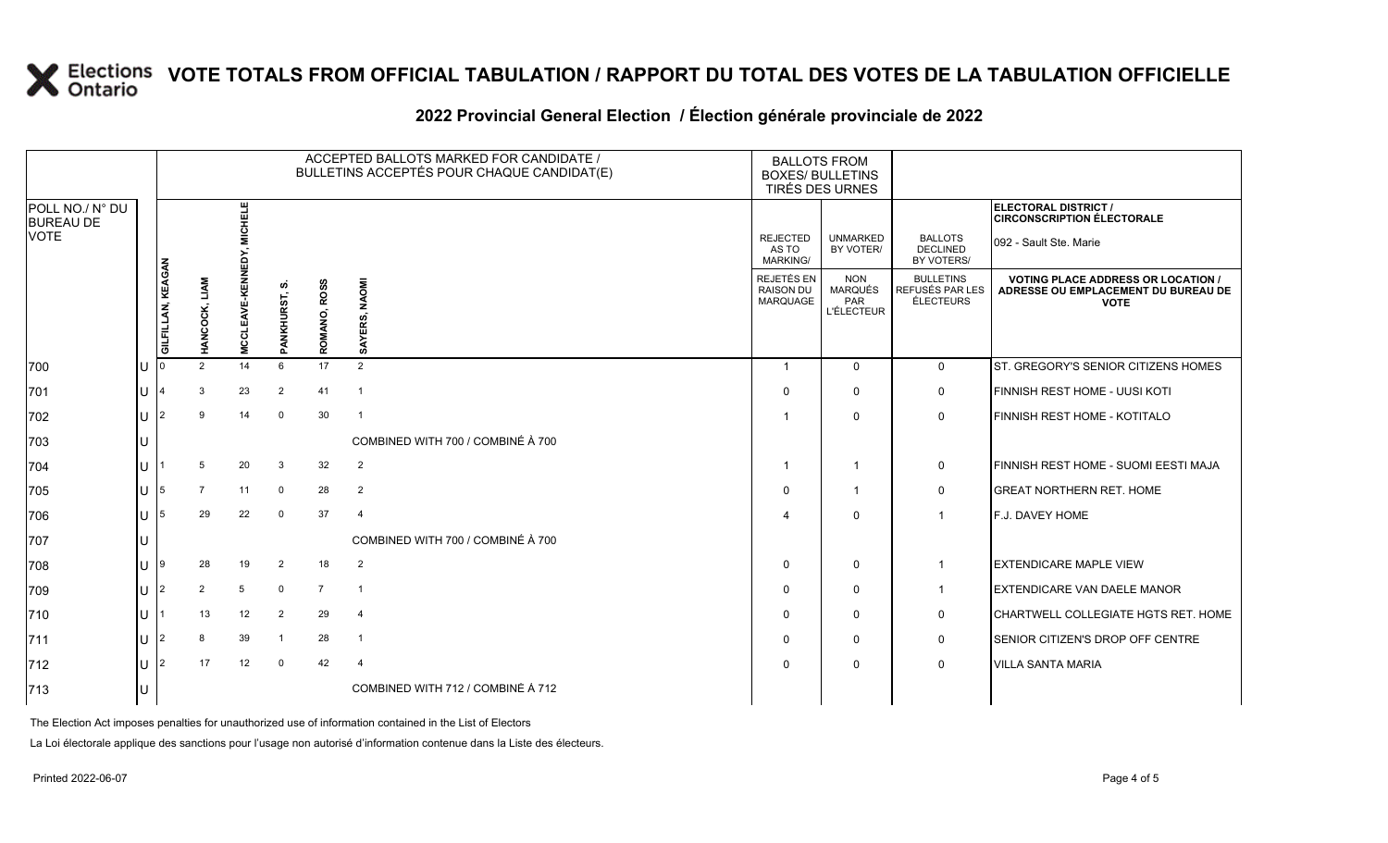### **2022 Provincial General Election / Élection générale provinciale de 2022**

|                                     |           |                   |                |                   |                         |                        | ACCEPTED BALLOTS MARKED FOR CANDIDATE /<br>BULLETINS ACCEPTÉS POUR CHAQUE CANDIDAT(E) | <b>BALLOTS FROM</b><br><b>BOXES/ BULLETINS</b><br>TIRÉS DES URNES |                                                                 |                                                         |                                                                                                 |
|-------------------------------------|-----------|-------------------|----------------|-------------------|-------------------------|------------------------|---------------------------------------------------------------------------------------|-------------------------------------------------------------------|-----------------------------------------------------------------|---------------------------------------------------------|-------------------------------------------------------------------------------------------------|
| POLL NO./ N° DU<br><b>BUREAU DE</b> |           |                   |                | <b>CHELE</b>      |                         |                        |                                                                                       |                                                                   |                                                                 |                                                         | ELECTORAL DISTRICT /<br><b>CIRCONSCRIPTION ÉLECTORALE</b>                                       |
| <b>VOTE</b>                         |           |                   |                |                   |                         |                        |                                                                                       | <b>REJECTED</b><br>AS TO<br><b>MARKING/</b>                       | <b>UNMARKED</b><br>BY VOTER/                                    | <b>BALLOTS</b><br><b>DECLINED</b><br>BY VOTERS/         | 092 - Sault Ste. Marie                                                                          |
|                                     |           | GILFILLAN, KEAGAN | HANCOCK, LIAM  | MCCLEAVE-KENNEDY, | ທ່<br>PANKHURST,        | <b>ROSS</b><br>ROMANO, | <b>NAOMI</b><br>SAYERS,                                                               | REJETÉS EN<br><b>RAISON DU</b><br>MARQUAGE                        | <b>NON</b><br><b>MARQUÉS</b><br><b>PAR</b><br><b>L'ÉLECTEUR</b> | <b>BULLETINS</b><br>REFUSÉS PAR LES<br><b>ÉLECTEURS</b> | <b>VOTING PLACE ADDRESS OR LOCATION /</b><br>ADRESSE OU EMPLACEMENT DU BUREAU DE<br><b>VOTE</b> |
| 700                                 | ΙU        |                   | 2              | 14                | 6                       | 17                     | 2                                                                                     | $\overline{\mathbf{1}}$                                           | $\mathbf{0}$                                                    | $\mathbf 0$                                             | ST. GREGORY'S SENIOR CITIZENS HOMES                                                             |
| 701                                 | lu        |                   | 3              | 23                | $\overline{2}$          | 41                     | $\overline{1}$                                                                        | $\Omega$                                                          | $\Omega$                                                        | 0                                                       | FINNISH REST HOME - UUSI KOTI                                                                   |
| 702                                 | Ш         | $\mathfrak{p}$    | 9              | 14                | $\mathbf 0$             | 30                     | $\overline{1}$                                                                        |                                                                   | $\mathbf{0}$                                                    | 0                                                       | FINNISH REST HOME - KOTITALO                                                                    |
| 703                                 | U         |                   |                |                   |                         |                        | COMBINED WITH 700 / COMBINÉ À 700                                                     |                                                                   |                                                                 |                                                         |                                                                                                 |
| 704                                 | lu        |                   | 5              | 20                | 3                       | 32                     | $\overline{2}$                                                                        | -1                                                                | $\mathbf{1}$                                                    | 0                                                       | FINNISH REST HOME - SUOMI EESTI MAJA                                                            |
| 705                                 | lu-       | 5                 | $\overline{7}$ | 11                | 0                       | 28                     | $\overline{2}$                                                                        | $\Omega$                                                          | $\mathbf{1}$                                                    | $\mathsf{O}$                                            | <b>GREAT NORTHERN RET. HOME</b>                                                                 |
| 706                                 | lu        | 5                 | 29             | 22                | $\Omega$                | 37                     | $\overline{4}$                                                                        |                                                                   | $\mathbf{0}$                                                    |                                                         | <b>F.J. DAVEY HOME</b>                                                                          |
| 707                                 | IU        |                   |                |                   |                         |                        | COMBINED WITH 700 / COMBINÉ À 700                                                     |                                                                   |                                                                 |                                                         |                                                                                                 |
| 708                                 | lu-       | 9                 | 28             | 19                | $\overline{2}$          | 18                     | $\overline{2}$                                                                        | $\Omega$                                                          | $\mathbf 0$                                                     |                                                         | <b>EXTENDICARE MAPLE VIEW</b>                                                                   |
| 709                                 | lu        | $\overline{2}$    | $\overline{2}$ | 5                 | $\mathbf 0$             | $\overline{7}$         | $\overline{1}$                                                                        | $\Omega$                                                          | $\mathbf{0}$                                                    |                                                         | <b>EXTENDICARE VAN DAELE MANOR</b>                                                              |
| 710                                 | <b>IU</b> |                   | 13             | 12                | $\overline{2}$          | 29                     | $\overline{4}$                                                                        | $\Omega$                                                          | $\mathbf{0}$                                                    | 0                                                       | CHARTWELL COLLEGIATE HGTS RET. HOME                                                             |
| 711                                 | lu-       | $\overline{2}$    | 8              | 39                | $\overline{\mathbf{1}}$ | 28                     | $\overline{1}$                                                                        | $\Omega$                                                          | $\mathbf{0}$                                                    | 0                                                       | SENIOR CITIZEN'S DROP OFF CENTRE                                                                |
| 712                                 | lU        | 2                 | 17             | 12                | $\mathbf 0$             | 42                     | $\overline{4}$                                                                        | $\Omega$                                                          | $\mathbf{0}$                                                    | 0                                                       | <b>VILLA SANTA MARIA</b>                                                                        |
| 713                                 |           |                   |                |                   |                         |                        | COMBINED WITH 712 / COMBINÉ À 712                                                     |                                                                   |                                                                 |                                                         |                                                                                                 |

The Election Act imposes penalties for unauthorized use of information contained in the List of Electors